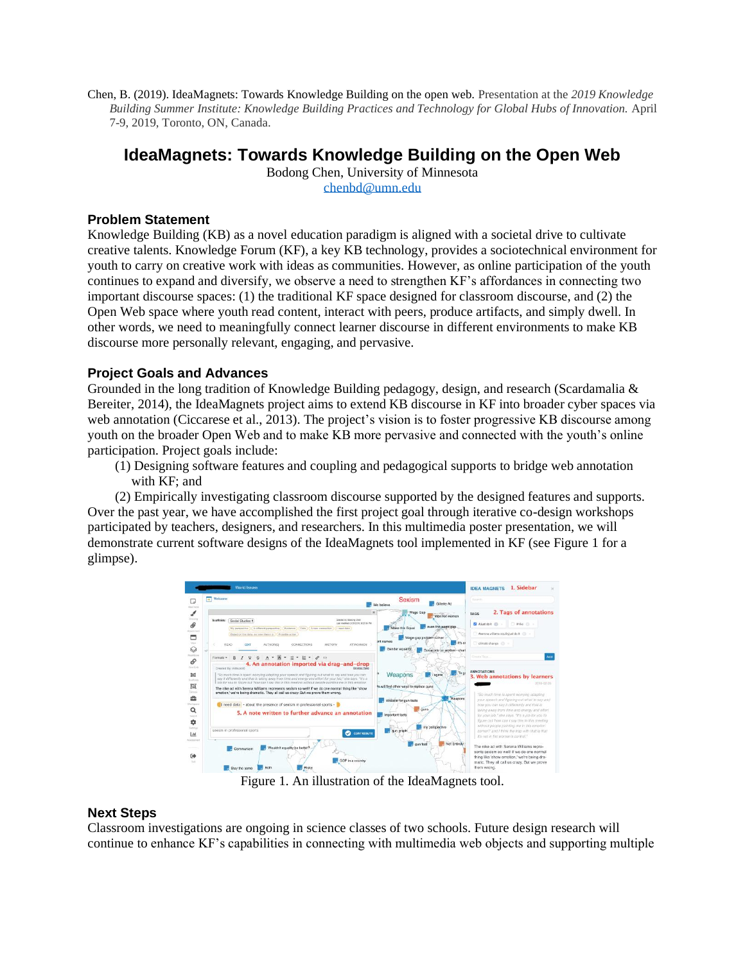Chen, B. (2019). IdeaMagnets: Towards Knowledge Building on the open web. Presentation at the *2019 Knowledge Building Summer Institute: Knowledge Building Practices and Technology for Global Hubs of Innovation.* April 7-9, 2019, Toronto, ON, Canada.

# **IdeaMagnets: Towards Knowledge Building on the Open Web**

Bodong Chen, University of Minnesota [chenbd@umn.edu](mailto:chenbd@umn.edu)

## **Problem Statement**

Knowledge Building (KB) as a novel education paradigm is aligned with a societal drive to cultivate creative talents. Knowledge Forum (KF), a key KB technology, provides a sociotechnical environment for youth to carry on creative work with ideas as communities. However, as online participation of the youth continues to expand and diversify, we observe a need to strengthen KF's affordances in connecting two important discourse spaces: (1) the traditional KF space designed for classroom discourse, and (2) the Open Web space where youth read content, interact with peers, produce artifacts, and simply dwell. In other words, we need to meaningfully connect learner discourse in different environments to make KB discourse more personally relevant, engaging, and pervasive.

## **Project Goals and Advances**

Grounded in the long tradition of Knowledge Building pedagogy, design, and research (Scardamalia & Bereiter, 2014), the IdeaMagnets project aims to extend KB discourse in KF into broader cyber spaces via web annotation (Ciccarese et al., 2013). The project's vision is to foster progressive KB discourse among youth on the broader Open Web and to make KB more pervasive and connected with the youth's online participation. Project goals include:

(1) Designing software features and coupling and pedagogical supports to bridge web annotation with KF; and

(2) Empirically investigating classroom discourse supported by the designed features and supports. Over the past year, we have accomplished the first project goal through iterative co-design workshops participated by teachers, designers, and researchers. In this multimedia poster presentation, we will demonstrate current software designs of the IdeaMagnets tool implemented in KF (see Figure 1 for a glimpse).



Figure 1. An illustration of the IdeaMagnets tool.

### **Next Steps**

Classroom investigations are ongoing in science classes of two schools. Future design research will continue to enhance KF's capabilities in connecting with multimedia web objects and supporting multiple